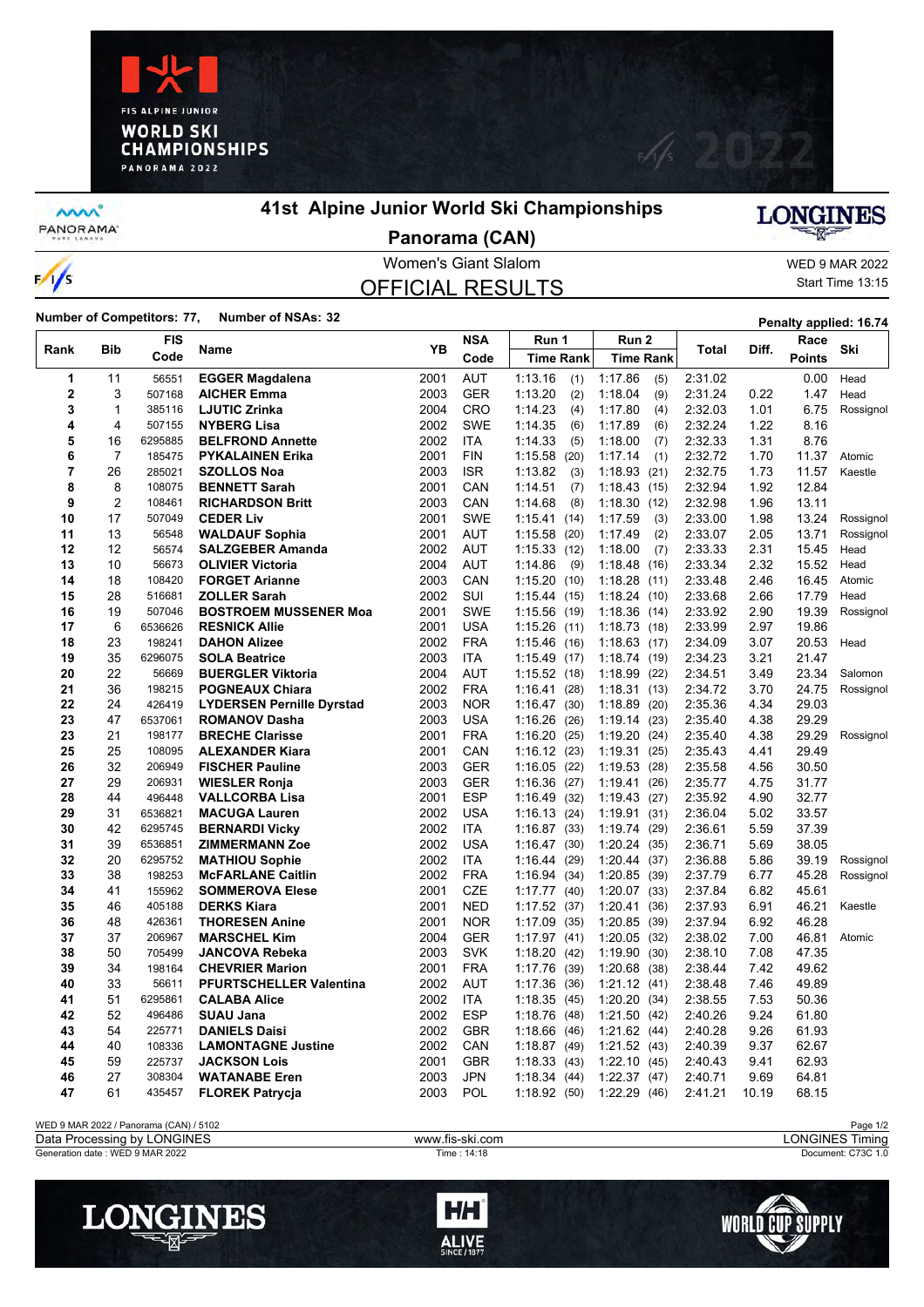



**MW** PANORAMA<sup>-</sup>

 $\frac{1}{s}$ 

## **41st Alpine Junior World Ski Championships**



**Panorama (CAN)**

### Women's Giant Slalom WED 9 MAR 2022 OFFICIAL RESULTS

Start Time 13:15

**Number of Competitors: 77, Number of NSAs: 32 Penalty applied: 16.74 Penalty applied: 16.74** 

|                | Bib            | <b>FIS</b><br>Code | Name                             |      | <b>NSA</b> | Run 1            | Run <sub>2</sub> | <b>Total</b> | Diff. | Race          |           |
|----------------|----------------|--------------------|----------------------------------|------|------------|------------------|------------------|--------------|-------|---------------|-----------|
| Rank           |                |                    |                                  | YΒ   | Code       | <b>Time Rank</b> | <b>Time Rank</b> |              |       | <b>Points</b> | Ski       |
| 1              | 11             | 56551              | <b>EGGER Magdalena</b>           | 2001 | <b>AUT</b> | 1:13.16<br>(1)   | 1:17.86<br>(5)   | 2:31.02      |       | 0.00          | Head      |
| $\overline{2}$ | 3              | 507168             | <b>AICHER Emma</b>               | 2003 | <b>GER</b> | 1:13.20<br>(2)   | 1:18.04<br>(9)   | 2:31.24      | 0.22  | 1.47          | Head      |
| 3              | 1              | 385116             | <b>LJUTIC Zrinka</b>             | 2004 | CRO        | 1:14.23<br>(4)   | 1:17.80<br>(4)   | 2:32.03      | 1.01  | 6.75          | Rossignol |
| 4              | 4              | 507155             | <b>NYBERG Lisa</b>               | 2002 | <b>SWE</b> | 1:14.35<br>(6)   | 1:17.89<br>(6)   | 2:32.24      | 1.22  | 8.16          |           |
| 5              | 16             | 6295885            | <b>BELFROND Annette</b>          | 2002 | <b>ITA</b> | 1:14.33<br>(5)   | 1:18.00<br>(7)   | 2:32.33      | 1.31  | 8.76          |           |
| 6              | $\overline{7}$ | 185475             | <b>PYKALAINEN Erika</b>          | 2001 | <b>FIN</b> | 1:15.58<br>(20)  | 1:17.14<br>(1)   | 2:32.72      | 1.70  | 11.37         | Atomic    |
| $\overline{7}$ | 26             | 285021             | <b>SZOLLOS Noa</b>               | 2003 | <b>ISR</b> | 1:13.82<br>(3)   | 1:18.93(21)      | 2:32.75      | 1.73  | 11.57         | Kaestle   |
| 8              | 8              | 108075             | <b>BENNETT Sarah</b>             | 2001 | CAN        | 1:14.51<br>(7)   | 1:18.43(15)      | 2:32.94      | 1.92  | 12.84         |           |
| 9              | $\overline{c}$ | 108461             | <b>RICHARDSON Britt</b>          | 2003 | CAN        | 1:14.68<br>(8)   | 1:18.30(12)      | 2:32.98      | 1.96  | 13.11         |           |
| 10             | 17             | 507049             | <b>CEDER Liv</b>                 | 2001 | <b>SWE</b> | 1:15.41<br>(14)  | 1:17.59<br>(3)   | 2:33.00      | 1.98  | 13.24         | Rossignol |
| 11             | 13             | 56548              | <b>WALDAUF Sophia</b>            | 2001 | <b>AUT</b> | 1:15.58<br>(20)  | 1:17.49<br>(2)   | 2:33.07      | 2.05  | 13.71         | Rossignol |
| 12             | 12             | 56574              | <b>SALZGEBER Amanda</b>          | 2002 | <b>AUT</b> | 1:15.33(12)      | 1:18.00<br>(7)   | 2:33.33      | 2.31  | 15.45         | Head      |
| 13             | 10             | 56673              | <b>OLIVIER Victoria</b>          | 2004 | <b>AUT</b> | 1:14.86<br>(9)   | 1:18.48<br>(16)  | 2:33.34      | 2.32  | 15.52         | Head      |
| 14             | 18             | 108420             | <b>FORGET Arianne</b>            | 2003 | CAN        | 1:15.20<br>(10)  | 1:18.28(11)      | 2:33.48      | 2.46  | 16.45         | Atomic    |
| 15             | 28             | 516681             | <b>ZOLLER Sarah</b>              | 2002 | SUI        | 1:15.44(15)      | 1:18.24(10)      | 2:33.68      | 2.66  | 17.79         | Head      |
| 16             | 19             | 507046             | <b>BOSTROEM MUSSENER Moa</b>     | 2001 | <b>SWE</b> | 1:15.56<br>(19)  | 1:18.36<br>(14)  | 2:33.92      | 2.90  | 19.39         | Rossignol |
| 17             | 6              | 6536626            | <b>RESNICK Allie</b>             | 2001 | <b>USA</b> | 1:15.26<br>(11)  | 1:18.73<br>(18)  | 2:33.99      | 2.97  | 19.86         |           |
| 18             | 23             | 198241             | <b>DAHON Alizee</b>              | 2002 | <b>FRA</b> | 1:15.46<br>(16)  | 1:18.63(17)      | 2:34.09      | 3.07  | 20.53         | Head      |
| 19             | 35             | 6296075            | <b>SOLA Beatrice</b>             | 2003 | <b>ITA</b> | 1:15.49<br>(17)  | 1:18.74(19)      | 2:34.23      | 3.21  | 21.47         |           |
| 20             | 22             | 56669              | <b>BUERGLER Viktoria</b>         | 2004 | <b>AUT</b> | 1:15.52(18)      | 1:18.99<br>(22)  | 2:34.51      | 3.49  | 23.34         | Salomon   |
| 21             | 36             | 198215             | <b>POGNEAUX Chiara</b>           | 2002 | <b>FRA</b> | 1:16.41<br>(28)  | 1:18.31(13)      | 2:34.72      | 3.70  | 24.75         | Rossignol |
| 22             | 24             | 426419             | <b>LYDERSEN Pernille Dyrstad</b> | 2003 | <b>NOR</b> | 1:16.47<br>(30)  | 1:18.89(20)      | 2:35.36      | 4.34  | 29.03         |           |
| 23             | 47             | 6537061            | <b>ROMANOV Dasha</b>             | 2003 | <b>USA</b> | 1:16.26<br>(26)  | 1:19.14(23)      | 2:35.40      | 4.38  | 29.29         |           |
| 23             | 21             | 198177             | <b>BRECHE Clarisse</b>           | 2001 | <b>FRA</b> | 1:16.20<br>(25)  | 1:19.20(24)      | 2:35.40      | 4.38  | 29.29         | Rossignol |
| 25             | 25             | 108095             | <b>ALEXANDER Kiara</b>           | 2001 | CAN        | 1:16.12<br>(23)  | 1:19.31(25)      | 2:35.43      | 4.41  | 29.49         |           |
| 26             | 32             | 206949             | <b>FISCHER Pauline</b>           | 2003 | <b>GER</b> | 1:16.05<br>(22)  | 1:19.53(28)      | 2:35.58      | 4.56  | 30.50         |           |
| 27             | 29             | 206931             | <b>WIESLER Ronja</b>             | 2003 | <b>GER</b> | 1:16.36<br>(27)  | 1:19.41<br>(26)  | 2:35.77      | 4.75  | 31.77         |           |
| 28             | 44             | 496448             | <b>VALLCORBA Lisa</b>            | 2001 | <b>ESP</b> | 1:16.49<br>(32)  | 1:19.43(27)      | 2:35.92      | 4.90  | 32.77         |           |
| 29             | 31             | 6536821            | <b>MACUGA Lauren</b>             | 2002 | <b>USA</b> | 1:16.13<br>(24)  | 1:19.91(31)      | 2:36.04      | 5.02  | 33.57         |           |
| 30             | 42             | 6295745            | <b>BERNARDI Vicky</b>            | 2002 | <b>ITA</b> | 1:16.87(33)      | 1:19.74(29)      | 2:36.61      | 5.59  | 37.39         |           |
| 31             | 39             | 6536851            | <b>ZIMMERMANN Zoe</b>            | 2002 | <b>USA</b> | 1:16.47<br>(30)  | 1:20.24(35)      | 2:36.71      | 5.69  | 38.05         |           |
| 32             | 20             | 6295752            | <b>MATHIOU Sophie</b>            | 2002 | <b>ITA</b> | 1:16.44<br>(29)  | 1:20.44(37)      | 2:36.88      | 5.86  | 39.19         | Rossignol |
| 33             | 38             | 198253             | <b>McFARLANE Caitlin</b>         | 2002 | <b>FRA</b> | 1:16.94<br>(34)  | 1:20.85(39)      | 2:37.79      | 6.77  | 45.28         | Rossignol |
| 34             | 41             | 155962             | <b>SOMMEROVA Elese</b>           | 2001 | <b>CZE</b> | 1:17.77(40)      | 1:20.07(33)      | 2:37.84      | 6.82  | 45.61         |           |
| 35             | 46             | 405188             | <b>DERKS Kiara</b>               | 2001 | <b>NED</b> | 1:17.52<br>(37)  | 1:20.41(36)      | 2:37.93      | 6.91  | 46.21         | Kaestle   |
| 36             | 48             | 426361             | <b>THORESEN Anine</b>            | 2001 | <b>NOR</b> | 1:17.09<br>(35)  | 1:20.85(39)      | 2.37.94      | 6.92  | 46.28         |           |
| 37             | 37             | 206967             | <b>MARSCHEL Kim</b>              | 2004 | <b>GER</b> | 1:17.97(41)      | 1:20.05(32)      | 2:38.02      | 7.00  | 46.81         | Atomic    |
| 38             | 50             | 705499             | JANCOVA Rebeka                   | 2003 | <b>SVK</b> | 1:18.20<br>(42)  | 1:19.90(30)      | 2:38.10      | 7.08  | 47.35         |           |
| 39             | 34             | 198164             | <b>CHEVRIER Marion</b>           | 2001 | <b>FRA</b> | 1:17.76<br>(39)  | 1:20.68(38)      | 2.38.44      | 7.42  | 49.62         |           |
| 40             | 33             | 56611              | <b>PFURTSCHELLER Valentina</b>   | 2002 | <b>AUT</b> | 1:17.36<br>(36)  | 1:21.12(41)      | 2:38.48      | 7.46  | 49.89         |           |
| 41             | 51             | 6295861            | <b>CALABA Alice</b>              | 2002 | <b>ITA</b> | 1:18.35<br>(45)  | 1:20.20(34)      | 2:38.55      | 7.53  | 50.36         |           |
| 42             | 52             | 496486             | <b>SUAU Jana</b>                 | 2002 | <b>ESP</b> | 1:18.76<br>(48)  | 1:21.50(42)      | 2:40.26      | 9.24  | 61.80         |           |
| 43             | 54             | 225771             | <b>DANIELS Daisi</b>             | 2002 | <b>GBR</b> | 1:18.66<br>(46)  | 1:21.62(44)      | 2:40.28      | 9.26  | 61.93         |           |
| 44             | 40             | 108336             | <b>LAMONTAGNE Justine</b>        | 2002 | CAN        | 1:18.87<br>(49)  | 1:21.52(43)      | 2:40.39      | 9.37  | 62.67         |           |
| 45             | 59             | 225737             | <b>JACKSON Lois</b>              | 2001 | <b>GBR</b> | 1:18.33<br>(43)  | 1:22.10(45)      | 2:40.43      | 9.41  | 62.93         |           |
| 46             | 27             | 308304             | <b>WATANABE Eren</b>             | 2003 | <b>JPN</b> | 1:18.34<br>(44)  | 1:22.37(47)      | 2:40.71      | 9.69  | 64.81         |           |
| 47             | 61             | 435457             | <b>FLOREK Patrycja</b>           | 2003 | <b>POL</b> | 1:18.92(50)      | 1:22.29(46)      | 2:41.21      | 10.19 | 68.15         |           |
|                |                |                    |                                  |      |            |                  |                  |              |       |               |           |

WED 9 MAR 2022 / Panorama (CAN) / 5102<br>
Data Processing by LONGINES **Page 1/2**<br>
Data Processing by LONGINES Timing

LONGINES

Data Processing by LONGINES www.fis-ski.com